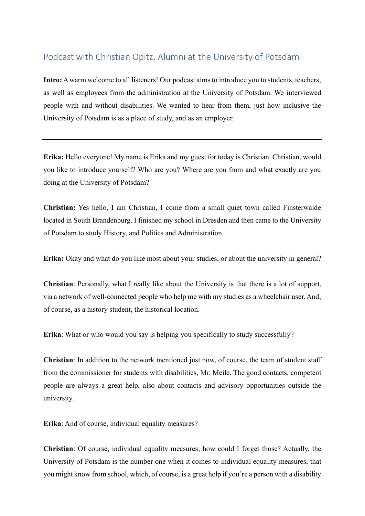## Podcast with Christian Opitz, Alumni at the University of Potsdam

**Intro:** A warm welcome to all listeners! Our podcast aims to introduce you to students, teachers, as well as employees from the administration at the University of Potsdam. We interviewed people with and without disabilities. We wanted to hear from them, just how inclusive the University of Potsdam is as a place of study, and as an employer.

**Erika:** Hello everyone! My name is Erika and my guest for today is Christian. Christian, would you like to introduce yourself? Who are you? Where are you from and what exactly are you doing at the University of Potsdam?

**Christian:** Yes hello, I am Christian, I come from a small quiet town called Finsterwalde located in South Brandenburg. I finished my school in Dresden and then came to the University of Potsdam to study History, and Politics and Administration.

**Erika:** Okay and what do you like most about your studies, or about the university in general?

**Christian**: Personally, what I really like about the University is that there is a lot of support, via a network of well-connected people who help me with my studies as a wheelchair user. And, of course, as a history student, the historical location.

**Erika**: What or who would you say is helping you specifically to study successfully?

**Christian**: In addition to the network mentioned just now, of course, the team of student staff from the commissioner for students with disabilities, Mr. Meile. The good contacts, competent people are always a great help, also about contacts and advisory opportunities outside the university.

**Erika**: And of course, individual equality measures?

**Christian**: Of course, individual equality measures, how could I forget those? Actually, the University of Potsdam is the number one when it comes to individual equality measures, that you might know from school, which, of course, is a great help if you're a person with a disability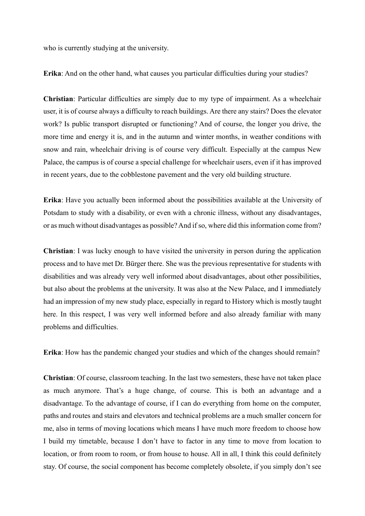who is currently studying at the university.

**Erika**: And on the other hand, what causes you particular difficulties during your studies?

**Christian**: Particular difficulties are simply due to my type of impairment. As a wheelchair user, it is of course always a difficulty to reach buildings. Are there any stairs? Does the elevator work? Is public transport disrupted or functioning? And of course, the longer you drive, the more time and energy it is, and in the autumn and winter months, in weather conditions with snow and rain, wheelchair driving is of course very difficult. Especially at the campus New Palace, the campus is of course a special challenge for wheelchair users, even if it has improved in recent years, due to the cobblestone pavement and the very old building structure.

**Erika**: Have you actually been informed about the possibilities available at the University of Potsdam to study with a disability, or even with a chronic illness, without any disadvantages, or as much without disadvantages as possible? And if so, where did this information come from?

**Christian**: I was lucky enough to have visited the university in person during the application process and to have met Dr. Bürger there. She was the previous representative for students with disabilities and was already very well informed about disadvantages, about other possibilities, but also about the problems at the university. It was also at the New Palace, and I immediately had an impression of my new study place, especially in regard to History which is mostly taught here. In this respect, I was very well informed before and also already familiar with many problems and difficulties.

**Erika**: How has the pandemic changed your studies and which of the changes should remain?

**Christian**: Of course, classroom teaching. In the last two semesters, these have not taken place as much anymore. That's a huge change, of course. This is both an advantage and a disadvantage. To the advantage of course, if I can do everything from home on the computer, paths and routes and stairs and elevators and technical problems are a much smaller concern for me, also in terms of moving locations which means I have much more freedom to choose how I build my timetable, because I don't have to factor in any time to move from location to location, or from room to room, or from house to house. All in all, I think this could definitely stay. Of course, the social component has become completely obsolete, if you simply don't see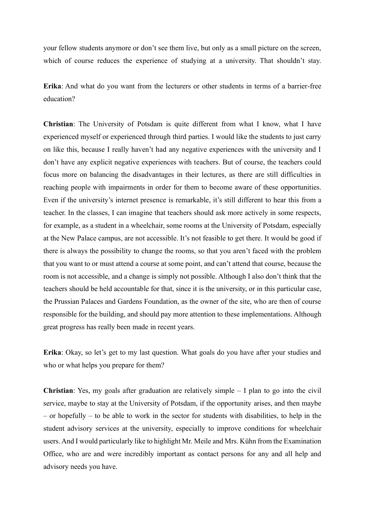your fellow students anymore or don't see them live, but only as a small picture on the screen, which of course reduces the experience of studying at a university. That shouldn't stay.

**Erika**: And what do you want from the lecturers or other students in terms of a barrier-free education?

**Christian**: The University of Potsdam is quite different from what I know, what I have experienced myself or experienced through third parties. I would like the students to just carry on like this, because I really haven't had any negative experiences with the university and I don't have any explicit negative experiences with teachers. But of course, the teachers could focus more on balancing the disadvantages in their lectures, as there are still difficulties in reaching people with impairments in order for them to become aware of these opportunities. Even if the university's internet presence is remarkable, it's still different to hear this from a teacher. In the classes, I can imagine that teachers should ask more actively in some respects, for example, as a student in a wheelchair, some rooms at the University of Potsdam, especially at the New Palace campus, are not accessible. It's not feasible to get there. It would be good if there is always the possibility to change the rooms, so that you aren't faced with the problem that you want to or must attend a course at some point, and can't attend that course, because the room is not accessible, and a change is simply not possible. Although I also don't think that the teachers should be held accountable for that, since it is the university, or in this particular case, the Prussian Palaces and Gardens Foundation, as the owner of the site, who are then of course responsible for the building, and should pay more attention to these implementations. Although great progress has really been made in recent years.

**Erika**: Okay, so let's get to my last question. What goals do you have after your studies and who or what helps you prepare for them?

**Christian**: Yes, my goals after graduation are relatively simple – I plan to go into the civil service, maybe to stay at the University of Potsdam, if the opportunity arises, and then maybe – or hopefully – to be able to work in the sector for students with disabilities, to help in the student advisory services at the university, especially to improve conditions for wheelchair users. And I would particularly like to highlight Mr. Meile and Mrs. Kühn from the Examination Office, who are and were incredibly important as contact persons for any and all help and advisory needs you have.